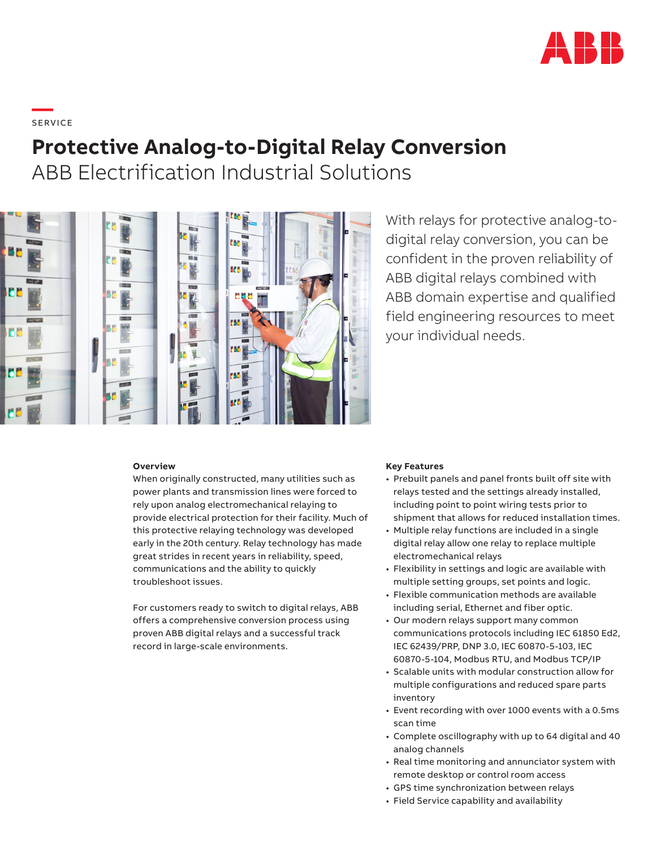

# **—**  S ERV I CE

## **Protective Analog-to-Digital Relay Conversion**

ABB Electrification Industrial Solutions



### With relays for protective analog-todigital relay conversion, you can be confident in the proven reliability of ABB digital relays combined with ABB domain expertise and qualified field engineering resources to meet your individual needs.

#### **Overview**

When originally constructed, many utilities such as power plants and transmission lines were forced to rely upon analog electromechanical relaying to provide electrical protection for their facility. Much of this protective relaying technology was developed early in the 20th century. Relay technology has made great strides in recent years in reliability, speed, communications and the ability to quickly troubleshoot issues.

For customers ready to switch to digital relays, ABB offers a comprehensive conversion process using proven ABB digital relays and a successful track record in large-scale environments.

#### **Key Features**

- Prebuilt panels and panel fronts built off site with relays tested and the settings already installed, including point to point wiring tests prior to shipment that allows for reduced installation times.
- Multiple relay functions are included in a single digital relay allow one relay to replace multiple electromechanical relays
- Flexibility in settings and logic are available with multiple setting groups, set points and logic.
- Flexible communication methods are available including serial, Ethernet and fiber optic.
- Our modern relays support many common communications protocols including IEC 61850 Ed2, IEC 62439/PRP, DNP 3.0, IEC 60870-5-103, IEC 60870-5-104, Modbus RTU, and Modbus TCP/IP
- Scalable units with modular construction allow for multiple configurations and reduced spare parts inventory
- Event recording with over 1000 events with a 0.5ms scan time
- Complete oscillography with up to 64 digital and 40 analog channels
- Real time monitoring and annunciator system with remote desktop or control room access
- GPS time synchronization between relays
- Field Service capability and availability